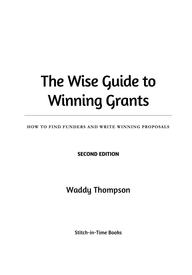# The Wise Guide to Winning Grants

**HOW TO FIND FUNDERS AND WRITE WINNING PROPOSALS** 

**SECOND EDITION**

# Waddy Thompson

Stitch-in-Time Books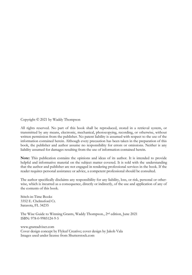Copyright © 2021 by Waddy Thompson

All rights reserved. No part of this book shall be reproduced, stored in a retrieval system, or transmitted by any means, electronic, mechanical, photocopying, recording, or otherwise, without written permission from the publisher. No patent liability is assumed with respect to the use of the information contained herein. Although every precaution has been taken in the preparation of this book, the publisher and author assume no responsibility for errors or omissions. Neither is any liability assumed for damages resulting from the use of information contained herein.

**Note:** This publication contains the opinions and ideas of its author. It is intended to provide helpful and informative material on the subject matter covered. It is sold with the understanding that the author and publisher are not engaged in rendering professional services in the book. If the reader requires personal assistance or advice, a competent professional should be consulted.

The author specifically disclaims any responsibility for any liability, loss, or risk, personal or otherwise, which is incurred as a consequence, directly or indirectly, of the use and application of any of the contents of this book.

Stitch-in-Time Books 3352 E. Chelmsford Ct. Sarasota, FL 34235

The Wise Guide to Winning Grants, Waddy Thompson., 2nd edition, June 2021 ISBN: 978-0-9985124-9-5

www.grantadviser.com Cover design concept by Flyleaf Creative; cover design by Jakob Vala Images used under license from Shutterstock.com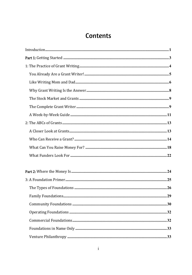# Contents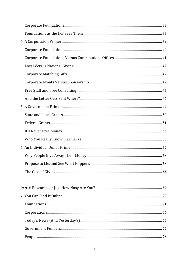| Part 3: Research, or Just How Nosy Are You?.<br>69 |
|----------------------------------------------------|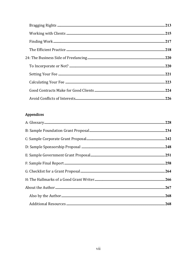# Appendices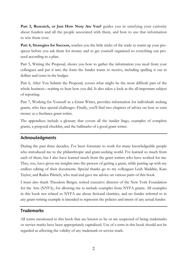Part 3, Research, or Just How Nosy Are You? guides you in satisfying your curiosity about funders and all the people associated with them, and how to use that information to win them over.

**Part 4, Strategies for Success,** teaches you the little tricks of the trade to warm up your prospects before you ask them for money and to get yourself organized so everything can proceed according to a plan.

Part 5, Writing the Proposal, shows you how to gather the information you need from your colleagues and put it into the form the funder wants to receive, including spelling it out in dollars and cents in the budget.

Part 6, After You Submit the Proposal, covers what might be the most difficult part of the whole business—waiting to hear how you did. It also takes a look at the all-important subject of reporting.

Part 7, Working for Yourself as a Grant Writer, provides information for individuals seeking grants, who face special challenges. Finally, you'll find two chapters of advice on how to earn money as a freelance grant writer.

The appendices include a glossary that covers all the insider lingo, examples of complete grants, a proposal checklist, and the hallmarks of a good grant writer.

#### Acknowledgments

During the past three decades, I've been fortunate to work for many knowledgeable people who introduced me to the philanthropic and grant-seeking world. I've learned so much from each of them, but I also have learned much from the grant writers who have worked for me. They, too, have given me insights into the process of getting a grant, while putting up with my endless editing of their documents. Special thanks go to my colleagues Leah Maddrie, Kate Taylor, and Rados Piletich, who read and gave me advice on various parts of this book.

I must also thank Theodore Berger, retired executive director of the New York Foundation for the Arts (NYFA), for allowing me to include examples from NYFA grants. All examples in this book not related to NYFA are about fictional charities, and no funder referred to in any grant-writing example is intended to represent the policies and intent of any actual funder.

#### Trademarks

All terms mentioned in this book that are known to be or are suspected of being trademarks or service marks have been appropriately capitalized. Use of a term in this book should not be regarded as affecting the validity of any trademark or service mark.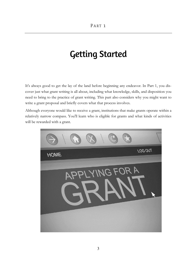# Getting Started

It's always good to get the lay of the land before beginning any endeavor. In Part 1, you discover just what grant writing is all about, including what knowledge, skills, and disposition you need to bring to the practice of grant writing. This part also considers why you might want to write a grant proposal and briefly covers what that process involves.

Although everyone would like to receive a grant, institutions that make grants operate within a relatively narrow compass. You'll learn who is eligible for grants and what kinds of activities will be rewarded with a grant.

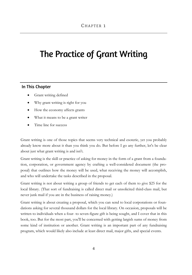# The Practice of Grant Writing

#### In This Chapter

- Grant writing defined
- Why grant writing is right for you
- How the economy affects grants
- What it means to be a grant writer
- Time line for success

Grant writing is one of those topics that seems very technical and esoteric, yet you probably already know more about it than you think you do. But before I go any further, let's be clear about just what grant writing is and isn't.

Grant writing is the skill or practice of asking for money in the form of a grant from a foundation, corporation, or government agency by crafting a well-considered document (the proposal) that outlines how the money will be used, what receiving the money will accomplish, and who will undertake the tasks described in the proposal.

Grant writing is not about writing a group of friends to get each of them to give \$25 for the local library. (That sort of fundraising is called direct mail or unsolicited third-class mail, but never junk mail if you are in the business of raising money.)

Grant writing is about creating a proposal, which you can send to local corporations or foundations asking for several thousand dollars for the local library. On occasion, proposals will be written to individuals when a four- to seven-figure gift is being sought, and I cover that in this book, too. But for the most part, you'll be concerned with getting largish sums of money from some kind of institution or another. Grant writing is an important part of any fundraising program, which would likely also include at least direct mail, major gifts, and special events.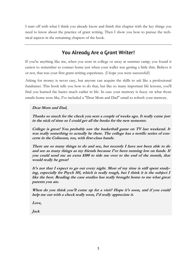I start off with what I think you already know and finish this chapter with the key things you need to know about the practice of grant writing. Then I show you how to pursue the technical aspects in the remaining chapters of the book.

# You Already Are a Grant Writer!

If you're anything like me, when you were in college or away at summer camp, you found it easiest to remember to contact home just when your wallet was getting a little thin. Believe it or not, that was your first grant-writing experience. (I hope you were successful!)

Asking for money is never easy, but anyone can acquire the skills to ask like a professional fundraiser. This book tells you how to do that, but like so many important life lessons, you'll find you learned the basics much earlier in life. In case your memory is fuzzy on what those emails home were like, I've included a "Dear Mom and Dad" email to refresh your memory.

#### **Dear Mom and Dad,**

**Thanks so much for the check you sent a couple of weeks ago. It really came just in the nick of time so I could get all the books for the new semester.** 

**College is great! You probably saw the basketball game on TV last weekend. It was really something to actually be there. The college has a terrific series of concerts in the Coliseum, too, with first-class bands.** 

**There are so many things to do and see, but recently I have not been able to do and see as many things as my friends because I've been running low on funds. If you could send me an extra \$100 to tide me over to the end of the month, that would really be great!** 

**It's not that I expect to go out every night. Most of my time is still spent studying, especially for Psych 101, which is really tough, but I think it is the subject I like the best. Reading the case studies has really brought home to me what great parents you are.** 

**When do you think you'll come up for a visit? Hope it's soon, and if you could help me out with a check really soon, I'd really appreciate it.** 

**Love,** 

**Jack**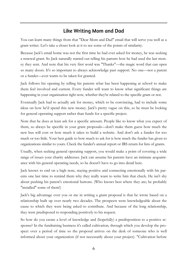### Like Writing Mom and Dad

You can learn many things from that "Dear Mom and Dad" email that will serve you well as a grant writer. Let's take a closer look at it to see some of the points of similarity.

Because Jack's email home was not the first time he had ever asked for money, he was seeking a renewal grant. So Jack naturally started out telling his parents how he had used the last money they sent. And note that his very first word was "Thanks"—the magic word that can open so many doors. It's so important to always acknowledge past support. No one—not a parent or a funder—ever wants to be taken for granted.

Jack follows his opening by telling his parents what has been happening at school to make them feel involved and current. Every funder will want to know what significant things are happening in your organization right now, whether they're related to the specific grant or not.

Eventually Jack had to actually ask for money, which to be convincing, had to include some ideas on how he'd spend this new money. Jack's pretty vague on this, so he must be looking for general operating support rather than funds for a specific project.

Note that he does at least ask for a specific amount. People like to know what you expect of them, so always be specific in your grant proposals—don't make them guess how much the new bus will cost or how much it takes to build a website. And don't ask a funder for too much or too little. Your best guide to how much to ask for is how much the funder has given to organizations similar to yours. Check the funder's annual report or IRS return for lists of grants.

Usually, when seeking general operating support, you would make a point of covering a wide range of issues your charity addresses. Jack can assume his parents have an intimate acquaintance with his general operating needs, so he doesn't have to go into detail here.

Jack knows to end on a high note, staying positive and connecting emotionally with his parents one last time to remind them why they really want to write him that check. He isn't shy about pushing his parent's emotional buttons. (Who knows best where they are; he probably "installed" some of them!)

Jack's big advantage over you or me in writing a grant proposal is that he wrote based on a relationship built up over nearly two decades. The prospects were knowledgeable about the cause to which they were being asked to contribute. And because of the long relationship, they were predisposed to responding positively to his request.

So how do you create a level of knowledge and (hopefully) a predisposition to a positive response? In the fundraising business it's called cultivation*,* through which you develop the prospect over a period of time so the proposal arrives on the desk of someone who is well informed about your organization (if not necessarily about your project). "Cultivation before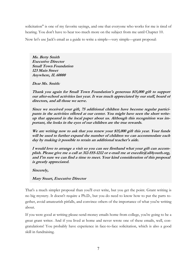solicitation" is one of my favorite sayings, and one that everyone who works for me is tired of hearing. You don't have to hear too much more on the subject from me until Chapter 10.

Now let's use Jack's email as a guide to write a simple—very simple—grant proposal:

**Ms. Betty Smith Executive Director Small Town Foundation 123 Main Street Anywhere, IL 60000** 

**Dear Ms. Smith:** 

**Thank you again for Small Town Foundation's generous \$15,000 gift to support our after-school activities last year. It was much appreciated by our staff, board of directors, and all those we serve.** 

**Since we received your gift, 75 additional children have become regular participants in the activities offered at our center. You might have seen the short writeup that appeared in the local paper about us. Although this recognition was important, the looks in the eyes of our children are the true rewards.** 

**We are writing now to ask that you renew your \$15,000 gift this year. Your funds will be used to further expand the number of children we can accommodate each day by making it possible to retain an additional teacher's aide.** 

**I would love to arrange a visit so you can see firsthand what your gift can accomplish. Please give me a call at 312-555-1212 or e-mail me at execdir@all4youth.org, and I'm sure we can find a time to meet. Your kind consideration of this proposal is greatly appreciated.** 

**Sincerely,** 

**Mary Stuart, Executive Director** 

That's a much simpler proposal than you'll ever write, but you get the point. Grant writing is no big mystery. It doesn't require a Ph.D., but you do need to know how to put the parts together, avoid amateurish pitfalls, and convince others of the importance of what you're writing about.

If you were good at writing please-send-money emails home from college, you're going to be a great grant writer. And if you lived at home and never wrote one of these emails, well, congratulations! You probably have experience in face-to-face solicitation, which is also a good skill in fundraising.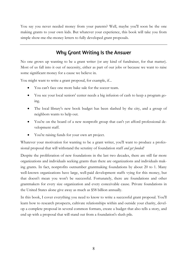You say you never needed money from your parents? Well, maybe you'll soon be the one making grants to your own kids. But whatever your experience, this book will take you from simple show-me-the-money letters to fully developed grant proposals.

# Why Grant Writing Is the Answer

No one grows up wanting to be a grant writer (or any kind of fundraiser, for that matter). Most of us fall into it out of necessity, either as part of our jobs or because we want to raise some significant money for a cause we believe in.

You might want to write a grant proposal, for example, if...

- You can't face one more bake sale for the soccer team.
- You see your local seniors' center needs a big infusion of cash to keep a program going.
- The local library's new book budget has been slashed by the city, and a group of neighbors wants to help out.
- You're on the board of a new nonprofit group that can't yet afford professional development staff.
- You're raising funds for your own art project.

Whatever your motivation for wanting to be a grant writer, you'll want to produce a professional proposal that will withstand the scrutiny of foundation staff *and get funded!*

Despite the proliferation of new foundations in the last two decades, there are still far more organizations and individuals seeking grants than there are organizations and individuals making grants. In fact, nonprofits outnumber grantmaking foundations by about 20 to 1. Many well-known organizations have large, well-paid development staffs vying for this money, but that doesn't mean you won't be successful. Fortunately, there are foundations and other grantmakers for every size organization and every conceivable cause. Private foundations in the United States alone give away as much as \$58 billion annually.

In this book, I cover everything you need to know to write a successful grant proposal. You'll learn how to research prospects, cultivate relationships within and outside your charity, develop a complete proposal in several common formats, create a budget that also tells a story, and end up with a proposal that will stand out from a foundation's slush pile.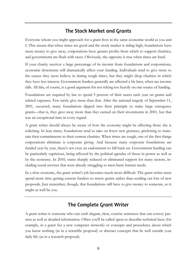### The Stock Market and Grants

Everyone whom you might approach for a grant lives in the same economic world as you and I. This means that when times are good and the stock market is riding high, foundations have more money to give away, corporations have greater profits from which to support charities, and governments are flush with taxes. Obviously, the opposite is true when times are hard.

If your charity receives a large percentage of its income from foundations and corporations, economic downturns will dramatically affect your funding. Individuals tend to give more to the causes they most believe in during tough times, but they might drop charities in which they have less interest. Government funders generally are affected a bit later, when tax income falls. All this, of course, is a good argument for not relying too heavily on one source of funding.

Foundations are required by law to spend 5 percent of their assets each year on grants and related expenses. Few rarely give more than that. After the national tragedy of September 11, 2001, occurred, many foundations dipped into their principle to make large emergency grants—that is, they gave away more than they earned on their investments in 2001, but that was an exceptional time in every regard.

A grant writer should always be aware of how the economy might be affecting those she is soliciting. In lean times, foundations tend to take on fewer new grantees, preferring to maintain their commitments to their current charities. When times are tough, one of the first things corporations eliminate is corporate giving. And because many corporate foundations are funded year by year, there's not even an endowment to fall back on. Government funding can be particularly capricious, being affected by the political agendas of those in power as well as by the economy. In 2010, states sharply reduced or eliminated support for many sectors, including social services that were already struggling to meet basic human needs.

In a slow economy, the grant writer's job becomes much more difficult. The grant writer must spend more time getting current funders to renew grants rather than sending out lots of new proposals. Just remember, though, that foundations still have to give money to someone, so it might as well be you.

# The Complete Grant Writer

A grant writer is someone who can craft elegant, clear, concise sentences that can convey passion as well as detailed information. Often you'll be called upon to describe technical facts (for example, in a grant for a new computer network) or concepts and procedures about which you know nothing (as in a scientific proposal) or abstract concepts that lie well outside your daily life (as in a research proposal).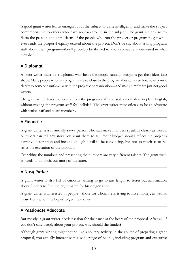A good grant writer learns enough about the subject to write intelligently and make the subject comprehensible to others who have no background in the subject. The grant writer also reflects the passion and enthusiasm of the people who run the project or program to get whoever reads the proposal equally excited about the project. Don't be shy about asking program staff about their program—they'll probably be thrilled to know someone is interested in what they do.

#### A Diplomat

A grant writer must be a diplomat who helps the people running programs get their ideas into shape. Many people who run programs are so close to the program they can't see how to explain it clearly to someone unfamiliar with the project or organization—and many simply are just not good writers.

The grant writer takes the words from the program staff and states their ideas in plain English, without making the program staff feel belittled. The grant writer must often also be an advocate with senior staff and board members.

#### A Financier

A grant writer is a financially savvy person who can make numbers speak as clearly as words. Numbers can tell any story you want them to tell. Your budget should reflect the project's narrative description and include enough detail to be convincing, but not so much as to restrict the execution of the program.

Crunching the numbers and presenting the numbers are very different talents. The grant writer needs to do both, but more of the latter.

#### A Nosy Parker

A grant writer is also full of curiosity, willing to go to any length to ferret out information about funders to find the right match for his organization.

A grant writer is interested in people—those for whom he is trying to raise money, as well as those from whom he hopes to get the money.

#### A Passionate Advocate

But mostly, a grant writer needs passion for the cause at the heart of the proposal. After all, if you don't care deeply about your project, why should the funder?

Although grant writing might sound like a solitary activity, in the course of preparing a grant proposal, you actually interact with a wide range of people, including program and executive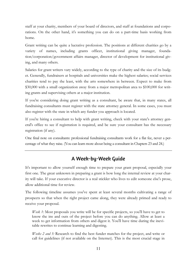staff at your charity, members of your board of directors, and staff at foundations and corporations. On the other hand, it's something you can do on a part-time basis working from home.

Grant writing can be quite a lucrative profession. The positions at different charities go by a variety of names, including grants officer, institutional giving manager, foundation/corporation/government affairs manager, director of development for institutional giving, and many others.

Salaries for grant writers vary widely, according to the type of charity and the size of its budget. Generally, fundraisers at hospitals and universities make the highest salaries; social services charities tend to pay the least, with the arts somewhere in between. Expect to make from \$30,000 with a small organization away from a major metropolitan area to \$100,000 for writing grants and supervising others at a major institution.

If you're considering doing grant writing as a consultant, be aware that, in many states, all fundraising consultants must register with the state attorney general. In some cases, you must also register with the state in which any funder you approach is located.

If you're hiring a consultant to help with grant writing, check with your state's attorney general's office to see if registration is required, and be sure your consultant has the necessary registration (if any).

One final note on consultants: professional fundraising consultants work for a flat fee, never a percentage of what they raise. (You can learn more about being a consultant in Chapters 23 and 24.)

# A Week-by-Week Guide

It's important to allow yourself enough time to prepare your grant proposal, especially your first one. The great unknown in preparing a grant is how long the internal review at your charity will take. If your executive director is a real stickler who lives to edit someone else's prose, allow additional time for review.

The following timeline assumes you've spent at least several months cultivating a range of prospects so that when the right project came along, they were already primed and ready to receive your proposal.

*Week 1:* Most proposals you write will be for specific projects, so you'll have to get to know the ins and outs of the project before you can do anything. Allow at least a week to get information from others and digest it. You'll have time during the inevitable rewrites to continue learning and digesting.

*Weeks 2 and 3:* Research to find the best funder matches for the project, and write or call for guidelines (if not available on the Internet). This is the most crucial stage in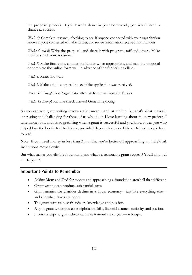the proposal process. If you haven't done *all* your homework, you won't stand a chance at success.

*Week 4:* Complete research, checking to see if anyone connected with your organization knows anyone connected with the funder, and review information received from funders.

*Weeks 5 and 6:* Write the proposal, and share it with program staff and others. Make revisions and more revisions.

*Week 7:* Make final edits, contact the funder when appropriate, and mail the proposal or complete the online form well in advance of the funder's deadline.

*Week 8:* Relax and wait.

*Week 9:* Make a follow-up call to see if the application was received.

*Weeks 10 through 25 or longer:* Patiently wait for news from the funder.

*Weeks 12 through 52:* The check arrives! General rejoicing!

As you can see, grant writing involves a lot more than just writing, but that's what makes it interesting and challenging for those of us who do it. I love learning about the new projects I raise money for, and it's so gratifying when a grant is successful and you know it was you who helped buy the books for the library, provided daycare for more kids, or helped people learn to read.

Note: If you need money in less than 3 months, you're better off approaching an individual. Institutions move slowly.

But what makes you eligible for a grant, and what's a reasonable grant request? You'll find out in Chapter 2.

#### Important Points to Remember

- Asking Mom and Dad for money and approaching a foundation aren't all that different.
- Grant writing can produce substantial sums.
- Grant monies for charities decline in a down economy—just like everything else and rise when times are good.
- The grant writer's best friends are knowledge and passion.
- A good grant writer possesses diplomatic skills, financial acumen, curiosity, and passion.
- From concept to grant check can take 6 months to a year—or longer.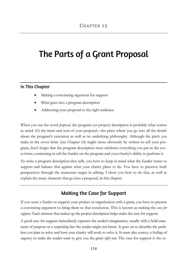# The Parts of a Grant Proposal

#### In This Chapter

- Making a convincing argument for support
- What goes into a program description
- Addressing your proposal to the right audience

When you use the word *proposal,* the program (or project) description is probably what comes to mind. It's the heart and soul of your proposal—the place where you go into all the details about the program's execution as well as its underlying philosophy. Although the pitch you make in the cover letter (see Chapter 16) might more obviously be written to sell your program, don't forget that the program description must reinforce everything you put in the cover letter, continuing to sell the funder on the program and your charity's ability to perform it.

To write a program description that sells, you have to keep in mind what the funder wants to support and balance that against what your charity plans to do. You have to preserve both perspectives through the numerous stages in editing. I show you how to do that, as well as explain the many elements that go into a proposal, in this chapter.

# Making the Case for Support

If you want a funder to support your project or organization with a grant, you have to present a convincing argument to bring them to that conclusion. This is known as making the *case for support*. Each element that makes up the project description helps make the case for support.

A good case for support immediately captures the reader's imagination, usually with a bold statement of purpose or a surprising fact the reader might not know. It goes on to describe the problem you plan to solve and how your charity will work to solve it. It must also convey a feeling of urgency to make the reader want to give you the grant *right now*. The case for support is the es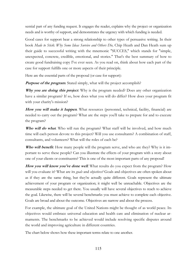sential part of any funding request. It engages the reader, explains why the project or organization needs and is worthy of support, and demonstrates the urgency with which funding is needed.

Good cases for support bear a strong relationship to other types of persuasive writing. In their book *Made to Stick: Why Some Ideas Survive and Others Die,* Chip Heath and Dan Heath sum up their guide to successful writing with the mnemonic "SUCCES," which stands for "simple, unexpected, concrete, credible, emotional, and stories." That's the best summary of how to create good fundraising copy I've ever seen. As you read on, think about how each part of the case for support fulfills one or more aspects of their principle.

Here are the essential parts of the proposal (or case for support):

**Purpose of the program***.* Stated simply, what will the project accomplish?

**Why you are doing this project***.* Why is the program needed? Does any other organization have a similar program? If so, how does what you will do differ? How does your program fit with your charity's mission?

How you will make it happen. What resources (personnel, technical, facility, financial) are needed to carry out the program? What are the steps you'll take to prepare for and to execute the program?

**Who will do what***.* Who will run the program? What staff will be involved, and how much time will each person devote to this project? Will you use consultants? A combination of staff, consultants, and volunteers? What will the roles of each be?

**Who will benefit.** How many people will the program serve, and who are they? Why is it important to serve these people? Can you illustrate the effects of your program with a story about one of your clients or constituents? This is one of the most important parts of any proposal!

**How you will know you've done well***.* What results do you expect from the program? How will you evaluate it? What are its *goals* and *objectives?* Goals and objectives are often spoken about as if they are the same thing, but they're actually quite different. Goals represent the ultimate achievement of your program or organization; it might well be unreachable. Objectives are the measurable steps needed to get there. You usually will have several objectives to reach to achieve the goal. Likewise, there will be several benchmarks you must achieve to complete each objective. Goals are broad and about the outcome. Objectives are narrow and about the process.

For example, the ultimate goal of the United Nations might be thought of as world peace. Its objectives would embrace universal education and health care and elimination of nuclear armaments. The benchmarks to be achieved would include resolving specific disputes around the world and improving agriculture in different countries.

The chart below shows how these important terms relate to one another.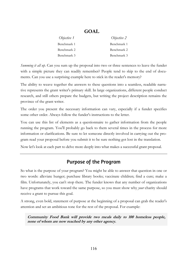### **GOAL**

| Objective 1 | Objective 2 |
|-------------|-------------|
| Benchmark 1 | Benchmark 1 |
| Benchmark 2 | Benchmark 2 |
| Benchmark 3 | Benchmark 3 |

*Summing it all up.* Can you sum up the proposal into two or three sentences to leave the funder with a simple picture they can readily remember? People tend to skip to the end of documents. Can you use a surprising example here to stick in the reader's memory?

The ability to weave together the answers to these questions into a seamless, readable narrative represents the grant writer's primary skill. In large organizations, different people conduct research, and still others prepare the budgets, but writing the project description remains the province of the grant writer.

The order you present the necessary information can vary, especially if a funder specifies some other order. Always follow the funder's instructions to the letter.

You can use this list of elements as a questionnaire to gather information from the people running the program. You'll probably go back to them several times in the process for more information or clarifications. Be sure to let someone directly involved in carrying out the program read your proposal before you submit it to be sure nothing got lost in the translation.

Now let's look at each part to delve more deeply into what makes a successful grant proposal.

# Purpose of the Program

So what is the purpose of your program? You might be able to answer that question in one or two words: alleviate hunger; purchase library books; vaccinate children; find a cure; make a film. Unfortunately, you can't stop there. The funder knows that any number of organizations have programs that work toward the same purpose, so you must show why *your* charity should receive a grant to pursue this goal.

A strong, even bold, statement of purpose at the beginning of a proposal can grab the reader's attention and set an ambitious tone for the rest of the proposal. For example:

**Community Food Bank will provide two meals daily to 100 homeless people, none of whom are now reached by any other agency.**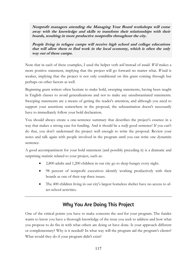**Nonprofit managers attending the Managing Your Board workshops will come away with the knowledge and skills to transform their relationships with their boards, resulting in more productive nonprofits throughout the city.** 

**People living in refugee camps will receive high school and college educations that will allow them to find work in the local economy, which is often the only way out of these camps.** 

Note that in each of these examples, I used the helper verb *will* instead of *would*. *Will* makes a more positive statement, implying that the project will go forward no matter what. *Would* is weaker, implying that the project is not only conditional on this grant coming through but perhaps on other factors as well.

Beginning grant writers often hesitate to make bold, sweeping statements, having been taught in English classes to avoid generalizations and not to make any unsubstantiated statements. Sweeping statements are a means of getting the reader's attention, and although you need to support your assertions somewhere in the proposal, the substantiation doesn't necessarily have to immediately follow your bold declaration.

You should always create a one-sentence summary that describes the project's essence in a way that makes a strong case for funding. And it should be a *really* good sentence! If you can't do that, you don't understand the project well enough to write the proposal. Review your notes and talk again with people involved in the program until you can write one dynamite sentence.

A good accompaniment for your bold statement (and possibly preceding it) is a dramatic and surprising statistic related to your project, such as:

- 2,800 adults and 1,200 children in our city go to sleep hungry every night.
- 98 percent of nonprofit executives identify working productively with their boards as one of their top three issues.
- The 400 children living in our city's largest homeless shelter have no access to after-school activities.

# Why You Are Doing This Project

One of the critical points you have to make concerns the *need* for your program. The funder wants to know you have a thorough knowledge of the issue you seek to address and how what you propose to do fits in with what others are doing or have done. Is your approach different or complementary? Why is it needed? In what way will the program aid the program's clients? What would they do if your program didn't exist?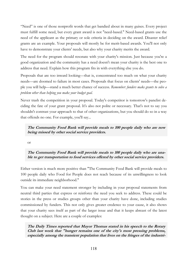"Need" is one of those nonprofit words that get bandied about in many guises. Every project must fulfill some need, but every grant award is not "need-based." Need-based grants use the need of the applicant as the primary or sole criteria in deciding on the award. Disaster relief grants are an example. Your proposals will mostly be for merit-based awards. You'll not only have to demonstrate your clients' needs, but also why your charity merits the award.

The need for the program should resonate with your charity's mission. Just because you're a good organization and the community has a need doesn't mean your charity is the best one to address that need. Explain how this program fits in with everything else you do.

Proposals that are too inward looking—that is, concentrated too much on what your charity needs—are doomed to failure in most cases. Proposals that focus on clients' needs—the people you will help—stand a much better chance of success. *Remember: funders make grants to solve a problem other than helping you make your budget goal.*

Never trash the competition in your proposal. Today's competitor is tomorrow's panelist deciding the fate of your grant proposal. It's also not polite or necessary. That's not to say you shouldn't contrast your approach to that of other organizations, but you should do so in a way that offends no one. For example, you'll say...

**The Community Food Bank will provide meals to 100 people daily who are now being missed by other social service providers.** 

or

#### **The Community Food Bank will provide meals to 100 people daily who are unable to get transportation to food services offered by other social service providers.**

Either version is much more positive than "The Community Food Bank will provide meals to 100 people daily who Food for People does not reach because of its unwillingness to look outside its immediate neighborhood."

You can make your need statement stronger by including in your proposal statements from neutral third parties that express or reinforce the need you seek to address. These could be stories in the press or studies groups other than your charity have done, including studies commissioned by funders. This not only gives greater credence to your cause, it also shows that your charity sees itself as part of the larger issue and that it keeps abreast of the latest thought on a subject. Here are a couple of examples:

**The Daily Times reported that Mayor Thomas stated in his speech to the Rotary Club last week that "hunger remains one of the city's most pressing problems, especially among the transient population that lives on the fringes of the industri-**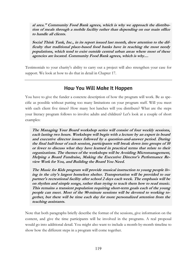**al area." Community Food Bank agrees, which is why we approach the distribution of meals through a mobile facility rather than depending on our main office to handle all clients.** 

**Social Think Tank, Inc., in its report issued last month, drew attention to the difficulty that traditional place-based food banks have in reaching the most needy populations, which tend to exist outside central urban areas where most of these agencies are located. Community Food Bank agrees, which is why....** 

Testimonials to your charity's ability to carry out a project will also strengthen your case for support. We look at how to do that in detail in Chapter 17.

### How You Will Make It Happen

You have to give the funder a concrete description of how the program will work. Be as specific as possible without putting too many limitations on your program staff. Will you meet with each client five times? How many hot lunches will you distribute? What are the steps your literacy program follows to involve adults and children? Let's look at a couple of short examples:

**The Managing Your Board workshop series will consist of four weekly sessions, each lasting two hours. Workshops will begin with a lecture by an expert in board and executive director issues followed by a question-and-answer period. During the final half-hour of each session, participants will break down into groups of 10 or fewer to discuss what they have learned in practical terms that relate to their organizations. The themes of the workshops will be Avoiding Micromanagement, Helping a Board Fundraise, Making the Executive Director's Performance Review Work for You, and Building the Board You Need.** 

**The Music for Kids program will provide musical instruction to young people living in the city's largest homeless shelter. Transportation will be provided to our partner's recreational facility after school 2 days each week. The emphasis will be on rhythm and simple songs, rather than trying to teach them how to read music. This remains a transient population requiring short-term goals each of the young people can meet. Most of the 90-minute sessions will be devoted to working together, but there will be time each day for more personalized attention from the teaching assistants.** 

Note that both paragraphs briefly describe the format of the sessions, give information on the content, and give the time participants will be involved in the programs. A real proposal would go into additional detail. You might also want to include a month-by-month timeline to show how the different steps in a program will come together.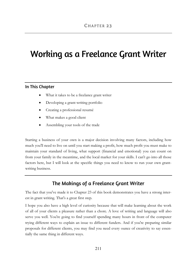# Working as a Freelance Grant Writer

#### In This Chapter

- What it takes to be a freelance grant writer
- Developing a grant-writing portfolio
- Creating a professional resumé
- What makes a good client
- Assembling your tools of the trade

Starting a business of your own is a major decision involving many factors, including how much you'll need to live on until you start making a profit, how much profit you must make to maintain your standard of living, what support (financial and emotional) you can count on from your family in the meantime, and the local market for your skills. I can't go into all those factors here, but I will look at the specific things you need to know to run your own grantwriting business.

# The Makings of a Freelance Grant Writer

The fact that you've made it to Chapter 23 of this book demonstrates you have a strong interest in grant writing. That's a great first step.

I hope you also have a high level of curiosity because that will make learning about the work of all of your clients a pleasure rather than a chore. A love of writing and language will also serve you well. You're going to find yourself spending many hours in front of the computer trying different ways to explain an issue to different funders. And if you're preparing similar proposals for different clients, you may find you need every ounce of creativity to say essentially the same thing in different ways.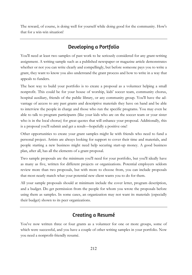The reward, of course, is doing well for yourself while doing good for the community. How's that for a win-win situation!

# Developing a Portfolio

You'll need at least two samples of past work to be seriously considered for any grant-writing assignment. A writing sample such as a published newspaper or magazine article demonstrates whether or not you can write clearly and compellingly, but before someone pays you to write a grant, they want to know you also understand the grant process and how to write in a way that appeals to funders.

The best way to build your portfolio is to create a proposal as a volunteer helping a small nonprofit. This could be for your house of worship, kids' soccer team, community chorus, hospital auxiliary, friends of the public library, or any community group. You'll have the advantage of access to any past grants and descriptive materials they have on hand and be able to interview the people in charge and those who run the specific programs. You may even be able to talk to program participants (like your kids who are on the soccer team or your sister who is in the local chorus) for great quotes that will enhance your proposal. Additionally, this is a proposal you'll submit and get a result—hopefully a positive one!

Other opportunities to create your grant samples might lie with friends who need to fund a personal project. Artists are always looking for support to cover their time and materials, and people starting a new business might need help securing start-up money. A good business plan, after all, has all the elements of a grant proposal.

Two sample proposals are the minimum you'll need for your portfolio, but you'll ideally have as many as five, written for different projects or organizations. Potential employers seldom review more than two proposals, but with more to choose from, you can include proposals that most nearly match what your potential new client wants you to do for them.

All your sample proposals should at minimum include the cover letter, program description, and a budget. Do get permission from the people for whom you wrote the proposals before using them as samples. In some cases, an organization may not want its materials (especially their budget) shown to its peer organizations.

# Creating a Resumé

You've now written three or four grants as a volunteer for one or more groups, some of which were successful, and you have a couple of other writing samples in your portfolio. Now you need a nonprofit-friendly resumé.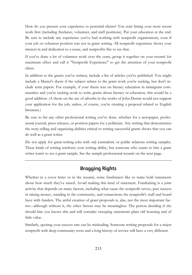How do you present your experience to potential clients? You start listing your most recent work first (including freelance, volunteer, and staff positions). Put your education at the end. Be sure to include any experience you've had working with nonprofit organizations, even if your job or volunteer position was not in grant writing. All nonprofit experience shows your interest in and dedication to a cause, and nonprofits like to see that.

If you've done a lot of volunteer work over the years, group it together on your resumé for maximum effect and call it "Nonprofit Experience" to get the attention of your nonprofit client.

In addition to the grants you've written, include a list of articles you've published. You might include a Master's thesis if the subject relates to the grant work you're seeking, but don't include term papers. For example, if your thesis was on literacy education in immigrant communities and you're seeking work to write grants about literacy or education, this would be a good addition. (A thesis on the use of adverbs in the works of John Donne would not support your application for the job, unless, of course, you're creating a proposal related to English literature.)

Be sure to list any other professional writing you've done, whether for a newspaper, professional journal, press releases, or position papers for a politician. Any writing that demonstrates the story-telling and organizing abilities critical to writing successful grants shows that you can do well as a grant writer.

Do not apply for grant-writing jobs with *only* journalistic or public relations writing samples. These kinds of writing reinforce your writing ability, but someone who wants to hire a grant writer wants to see a grant sample. See the sample professional resumé on the next page.

# Bragging Rights

Whether in a cover letter or in the resumé, some fundraisers like to make bold statements about how much they've raised. Avoid making this kind of statement. Fundraising is a joint activity that depends on many factors, including what cause the nonprofit serves, past success in raising money, standing in the community, and connections the nonprofit's staff and board have with funders. The artful creation of grant proposals is, alas, not the most important factor—although without it, the other factors may be meaningless. The person deciding if she should hire you knows this and will consider sweeping statements plain old boasting and of little value.

Similarly, quoting your success rate can be misleading. Someone writing proposals for a major nonprofit with deep community roots and a long history of service will have a very different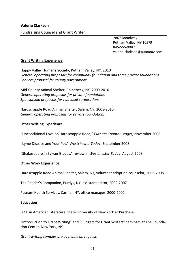Fundraising Counsel and Grant Writer

 2867 Broadway Putnam Valley, NY 10579 845‐555‐9087 valerie.clarkson@putnamv.com

#### **Grant Writing Experience**

Happy Valley Humane Society, Putnam Valley, NY, 2010 *General operating proposals for community foundation and three private foundations Services proposal for county government*

Mid‐County Animal Shelter, Rhinebeck, NY, 2009‐2010 *General operating proposals for private foundations Sponsorship proposals for two local corporations*

Hardscrapple Road Animal Shelter, Salem, NY, 2008‐2010 *General operating proposals for private foundations*

#### **Other Writing Experience**

"Unconditional Love on Hardscrapple Road," *Putnam Country Ledger*, November 2008

"Lyme Disease and Your Pet," *Westchester Today*, September 2008

"Shakespeare in Sylvan Glades," review in *Westchester Today*, August 2008

#### **Other Work Experience**

Hardscrapple Road Animal Shelter, Salem, NY, volunteer adoption counselor, 2006‐2008

The Reader's Companion, Purdys, NY, assistant editor, 2002‐2007

Putnam Health Services, Carmel, NY, office manager, 2000‐2002

#### **Education**

B.M. in American Literature, State University of New York at Purchase

"Introduction to Grant Writing" and "Budgets for Grant Writers" seminars at The Founda‐ tion Center, New York, NY

*Grant writing samples are available on request.*